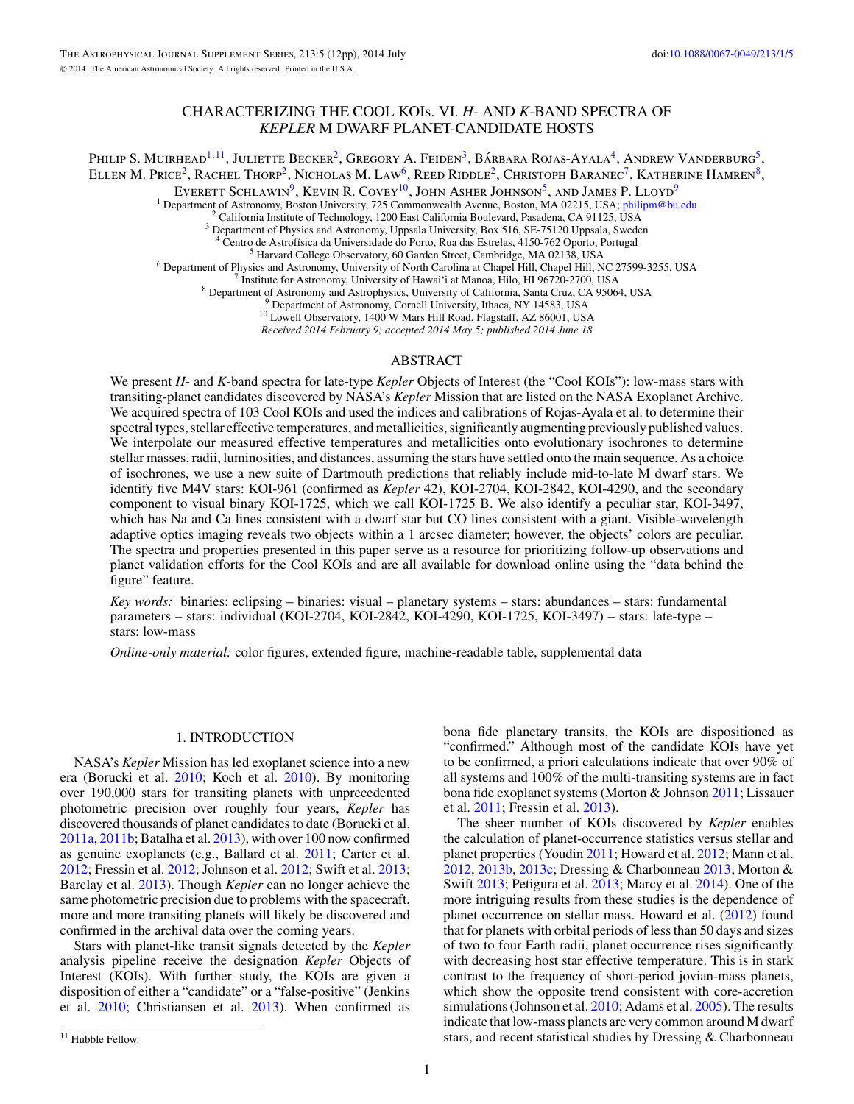# CHARACTERIZING THE COOL KOIs. VI. *H*- AND *K*-BAND SPECTRA OF *KEPLER* M DWARF PLANET-CANDIDATE HOSTS

Philip S. Muirhead<sup>1,11</sup>, Juliette Becker<sup>2</sup>, Gregory A. Feiden<sup>3</sup>, Bárbara Rojas-Ayala<sup>4</sup>, Andrew Vanderburg<sup>5</sup>, ELLEN M. PRICE<sup>2</sup>, RACHEL THORP<sup>2</sup>, NICHOLAS M. LAW<sup>6</sup>, REED RIDDLE<sup>2</sup>, CHRISTOPH BARANEC<sup>7</sup>, KATHERINE HAMREN<sup>8</sup>,

Everett Schlawin<sup>9</sup>, Kevin R. Covey<sup>10</sup>, John Asher Johnson<sup>5</sup>, and James P. Lloyd<sup>9</sup>

<sup>1</sup> Department of Astronomy, Boston University, 725 Commonwealth Avenue, Boston, MA 02215, USA; [philipm@bu.edu](mailto:philipm@bu.edu)<br><sup>2</sup> California Institute of Technology, 1200 East California Boulevard, Pasadena, CA 91125, USA<br><sup>3</sup> Department

<sup>3</sup> Department of Physics and Astronomy, Uppsala University, Box 516, SE-75120 Uppsala, Sweden<br>
<sup>4</sup> Centro de Astrofísica da Universidade do Porto, Rua das Estrelas, 4150-762 Oporto, Portugal<br>
<sup>5</sup> Harvard College Observat

*Received 2014 February 9; accepted 2014 May 5; published 2014 June 18*

# ABSTRACT

We present *H*- and *K*-band spectra for late-type *Kepler* Objects of Interest (the "Cool KOIs"): low-mass stars with transiting-planet candidates discovered by NASA's *Kepler* Mission that are listed on the NASA Exoplanet Archive. We acquired spectra of 103 Cool KOIs and used the indices and calibrations of Rojas-Ayala et al. to determine their spectral types, stellar effective temperatures, and metallicities, significantly augmenting previously published values. We interpolate our measured effective temperatures and metallicities onto evolutionary isochrones to determine stellar masses, radii, luminosities, and distances, assuming the stars have settled onto the main sequence. As a choice of isochrones, we use a new suite of Dartmouth predictions that reliably include mid-to-late M dwarf stars. We identify five M4V stars: KOI-961 (confirmed as *Kepler* 42), KOI-2704, KOI-2842, KOI-4290, and the secondary component to visual binary KOI-1725, which we call KOI-1725 B. We also identify a peculiar star, KOI-3497, which has Na and Ca lines consistent with a dwarf star but CO lines consistent with a giant. Visible-wavelength adaptive optics imaging reveals two objects within a 1 arcsec diameter; however, the objects' colors are peculiar. The spectra and properties presented in this paper serve as a resource for prioritizing follow-up observations and planet validation efforts for the Cool KOIs and are all available for download online using the "data behind the figure" feature.

*Key words:* binaries: eclipsing – binaries: visual – planetary systems – stars: abundances – stars: fundamental parameters – stars: individual (KOI-2704, KOI-2842, KOI-4290, KOI-1725, KOI-3497) – stars: late-type – stars: low-mass

*Online-only material:* color figures, extended figure, machine-readable table, supplemental data

# 1. INTRODUCTION

NASA's *Kepler* Mission has led exoplanet science into a new era (Borucki et al. [2010;](#page-10-0) Koch et al. [2010\)](#page-10-0). By monitoring over 190,000 stars for transiting planets with unprecedented photometric precision over roughly four years, *Kepler* has discovered thousands of planet candidates to date (Borucki et al. [2011a,](#page-10-0) [2011b;](#page-10-0) Batalha et al. [2013\)](#page-10-0), with over 100 now confirmed as genuine exoplanets (e.g., Ballard et al. [2011;](#page-10-0) Carter et al. [2012;](#page-10-0) Fressin et al. [2012;](#page-10-0) Johnson et al. [2012;](#page-10-0) Swift et al. [2013;](#page-11-0) Barclay et al. [2013\)](#page-10-0). Though *Kepler* can no longer achieve the same photometric precision due to problems with the spacecraft, more and more transiting planets will likely be discovered and confirmed in the archival data over the coming years.

Stars with planet-like transit signals detected by the *Kepler* analysis pipeline receive the designation *Kepler* Objects of Interest (KOIs). With further study, the KOIs are given a disposition of either a "candidate" or a "false-positive" (Jenkins et al. [2010;](#page-10-0) Christiansen et al. [2013\)](#page-10-0). When confirmed as

bona fide planetary transits, the KOIs are dispositioned as "confirmed." Although most of the candidate KOIs have yet to be confirmed, a priori calculations indicate that over 90% of all systems and 100% of the multi-transiting systems are in fact bona fide exoplanet systems (Morton & Johnson [2011;](#page-11-0) Lissauer et al. [2011;](#page-11-0) Fressin et al. [2013\)](#page-10-0).

The sheer number of KOIs discovered by *Kepler* enables the calculation of planet-occurrence statistics versus stellar and planet properties (Youdin [2011;](#page-11-0) Howard et al. [2012;](#page-10-0) Mann et al. [2012,](#page-11-0) [2013b,](#page-11-0) [2013c;](#page-11-0) Dressing & Charbonneau [2013;](#page-10-0) Morton & Swift [2013;](#page-11-0) Petigura et al. [2013;](#page-11-0) Marcy et al. [2014\)](#page-11-0). One of the more intriguing results from these studies is the dependence of planet occurrence on stellar mass. Howard et al. [\(2012\)](#page-10-0) found that for planets with orbital periods of less than 50 days and sizes of two to four Earth radii, planet occurrence rises significantly with decreasing host star effective temperature. This is in stark contrast to the frequency of short-period jovian-mass planets, which show the opposite trend consistent with core-accretion simulations (Johnson et al. [2010;](#page-10-0) Adams et al. [2005\)](#page-10-0). The results indicate that low-mass planets are very common around M dwarf stars, and recent statistical studies by Dressing & Charbonneau

<sup>&</sup>lt;sup>11</sup> Hubble Fellow.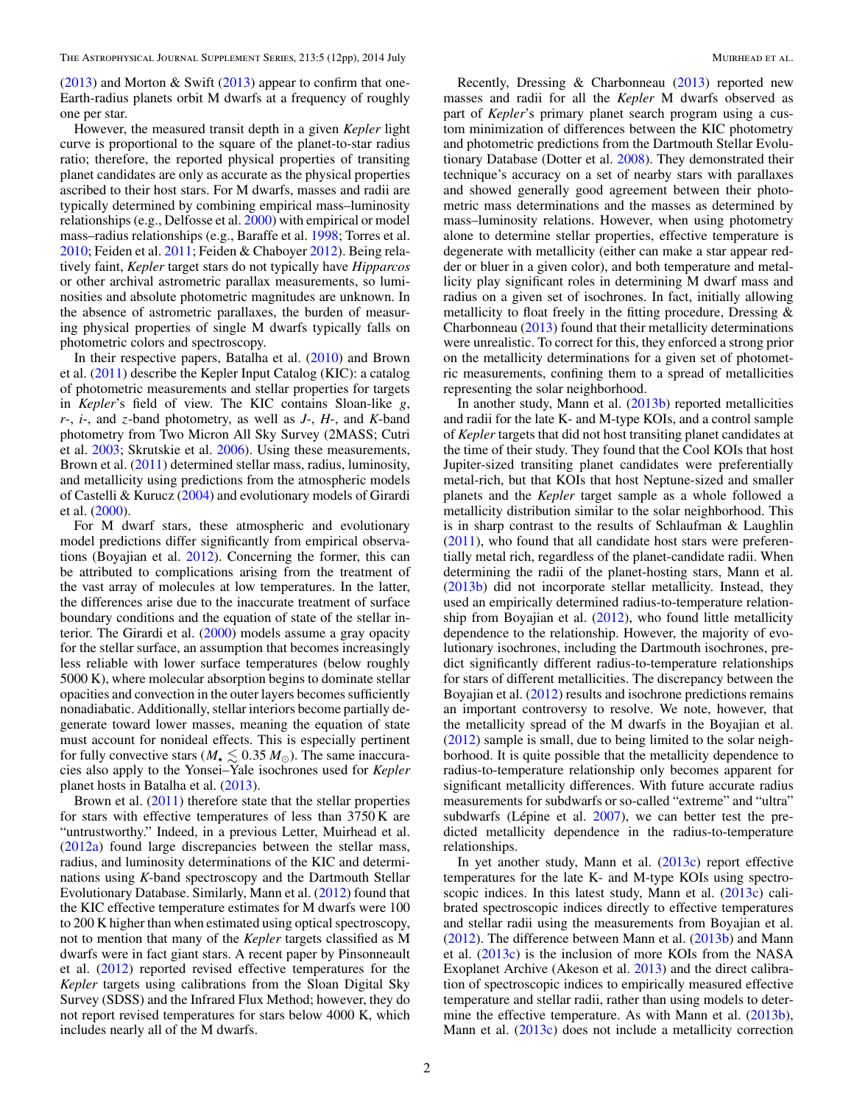$(2013)$  and Morton & Swift  $(2013)$  appear to confirm that one-Earth-radius planets orbit M dwarfs at a frequency of roughly one per star.

However, the measured transit depth in a given *Kepler* light curve is proportional to the square of the planet-to-star radius ratio; therefore, the reported physical properties of transiting planet candidates are only as accurate as the physical properties ascribed to their host stars. For M dwarfs, masses and radii are typically determined by combining empirical mass–luminosity relationships (e.g., Delfosse et al. [2000\)](#page-10-0) with empirical or model mass–radius relationships (e.g., Baraffe et al. [1998;](#page-10-0) Torres et al. [2010;](#page-11-0) Feiden et al. [2011;](#page-10-0) Feiden & Chaboyer [2012\)](#page-10-0). Being relatively faint, *Kepler* target stars do not typically have *Hipparcos* or other archival astrometric parallax measurements, so luminosities and absolute photometric magnitudes are unknown. In the absence of astrometric parallaxes, the burden of measuring physical properties of single M dwarfs typically falls on photometric colors and spectroscopy.

In their respective papers, Batalha et al. [\(2010\)](#page-10-0) and Brown et al. [\(2011\)](#page-10-0) describe the Kepler Input Catalog (KIC): a catalog of photometric measurements and stellar properties for targets in *Kepler*'s field of view. The KIC contains Sloan-like *g*, *r*-, *i*-, and *z*-band photometry, as well as *J*-, *H*-, and *K*-band photometry from Two Micron All Sky Survey (2MASS; Cutri et al. [2003;](#page-10-0) Skrutskie et al. [2006\)](#page-11-0). Using these measurements, Brown et al. [\(2011\)](#page-10-0) determined stellar mass, radius, luminosity, and metallicity using predictions from the atmospheric models of Castelli & Kurucz [\(2004\)](#page-10-0) and evolutionary models of Girardi et al. [\(2000\)](#page-10-0).

For M dwarf stars, these atmospheric and evolutionary model predictions differ significantly from empirical observations (Boyajian et al. [2012\)](#page-10-0). Concerning the former, this can be attributed to complications arising from the treatment of the vast array of molecules at low temperatures. In the latter, the differences arise due to the inaccurate treatment of surface boundary conditions and the equation of state of the stellar interior. The Girardi et al. [\(2000\)](#page-10-0) models assume a gray opacity for the stellar surface, an assumption that becomes increasingly less reliable with lower surface temperatures (below roughly 5000 K), where molecular absorption begins to dominate stellar opacities and convection in the outer layers becomes sufficiently nonadiabatic. Additionally, stellar interiors become partially degenerate toward lower masses, meaning the equation of state must account for nonideal effects. This is especially pertinent for fully convective stars ( $M_{\star} \leq 0.35 M_{\odot}$ ). The same inaccuracies also apply to the Yonsei–Yale isochrones used for *Kepler* planet hosts in Batalha et al. [\(2013\)](#page-10-0).

Brown et al. [\(2011\)](#page-10-0) therefore state that the stellar properties for stars with effective temperatures of less than 3750 K are "untrustworthy." Indeed, in a previous Letter, Muirhead et al. [\(2012a\)](#page-11-0) found large discrepancies between the stellar mass, radius, and luminosity determinations of the KIC and determinations using *K*-band spectroscopy and the Dartmouth Stellar Evolutionary Database. Similarly, Mann et al. [\(2012\)](#page-11-0) found that the KIC effective temperature estimates for M dwarfs were 100 to 200 K higher than when estimated using optical spectroscopy, not to mention that many of the *Kepler* targets classified as M dwarfs were in fact giant stars. A recent paper by Pinsonneault et al. [\(2012\)](#page-11-0) reported revised effective temperatures for the *Kepler* targets using calibrations from the Sloan Digital Sky Survey (SDSS) and the Infrared Flux Method; however, they do not report revised temperatures for stars below 4000 K, which includes nearly all of the M dwarfs.

Recently, Dressing & Charbonneau [\(2013\)](#page-10-0) reported new masses and radii for all the *Kepler* M dwarfs observed as part of *Kepler*'s primary planet search program using a custom minimization of differences between the KIC photometry and photometric predictions from the Dartmouth Stellar Evolutionary Database (Dotter et al. [2008\)](#page-10-0). They demonstrated their technique's accuracy on a set of nearby stars with parallaxes and showed generally good agreement between their photometric mass determinations and the masses as determined by mass–luminosity relations. However, when using photometry alone to determine stellar properties, effective temperature is degenerate with metallicity (either can make a star appear redder or bluer in a given color), and both temperature and metallicity play significant roles in determining M dwarf mass and radius on a given set of isochrones. In fact, initially allowing metallicity to float freely in the fitting procedure, Dressing & Charbonneau [\(2013\)](#page-10-0) found that their metallicity determinations were unrealistic. To correct for this, they enforced a strong prior on the metallicity determinations for a given set of photometric measurements, confining them to a spread of metallicities representing the solar neighborhood.

In another study, Mann et al. [\(2013b\)](#page-11-0) reported metallicities and radii for the late K- and M-type KOIs, and a control sample of *Kepler* targets that did not host transiting planet candidates at the time of their study. They found that the Cool KOIs that host Jupiter-sized transiting planet candidates were preferentially metal-rich, but that KOIs that host Neptune-sized and smaller planets and the *Kepler* target sample as a whole followed a metallicity distribution similar to the solar neighborhood. This is in sharp contrast to the results of Schlaufman & Laughlin [\(2011\)](#page-11-0), who found that all candidate host stars were preferentially metal rich, regardless of the planet-candidate radii. When determining the radii of the planet-hosting stars, Mann et al. [\(2013b\)](#page-11-0) did not incorporate stellar metallicity. Instead, they used an empirically determined radius-to-temperature relationship from Boyajian et al.  $(2012)$ , who found little metallicity dependence to the relationship. However, the majority of evolutionary isochrones, including the Dartmouth isochrones, predict significantly different radius-to-temperature relationships for stars of different metallicities. The discrepancy between the Boyajian et al. [\(2012\)](#page-10-0) results and isochrone predictions remains an important controversy to resolve. We note, however, that the metallicity spread of the M dwarfs in the Boyajian et al. [\(2012\)](#page-10-0) sample is small, due to being limited to the solar neighborhood. It is quite possible that the metallicity dependence to radius-to-temperature relationship only becomes apparent for significant metallicity differences. With future accurate radius measurements for subdwarfs or so-called "extreme" and "ultra" subdwarfs (Lépine et al.  $2007$ ), we can better test the predicted metallicity dependence in the radius-to-temperature relationships.

In yet another study, Mann et al. [\(2013c\)](#page-11-0) report effective temperatures for the late K- and M-type KOIs using spectro-scopic indices. In this latest study, Mann et al. [\(2013c\)](#page-11-0) calibrated spectroscopic indices directly to effective temperatures and stellar radii using the measurements from Boyajian et al. [\(2012\)](#page-10-0). The difference between Mann et al. [\(2013b\)](#page-11-0) and Mann et al. [\(2013c\)](#page-11-0) is the inclusion of more KOIs from the NASA Exoplanet Archive (Akeson et al. [2013\)](#page-10-0) and the direct calibration of spectroscopic indices to empirically measured effective temperature and stellar radii, rather than using models to deter-mine the effective temperature. As with Mann et al. [\(2013b\)](#page-11-0), Mann et al. [\(2013c\)](#page-11-0) does not include a metallicity correction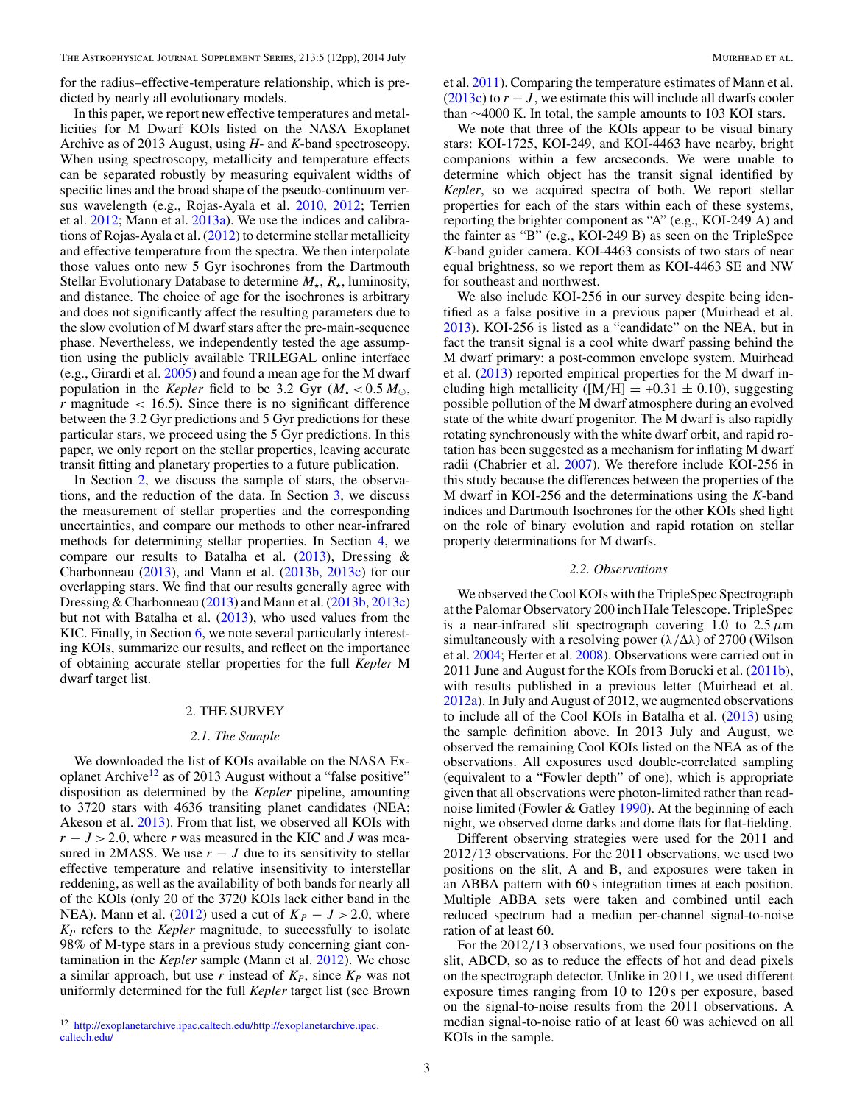for the radius–effective-temperature relationship, which is predicted by nearly all evolutionary models.

In this paper, we report new effective temperatures and metallicities for M Dwarf KOIs listed on the NASA Exoplanet Archive as of 2013 August, using *H*- and *K*-band spectroscopy. When using spectroscopy, metallicity and temperature effects can be separated robustly by measuring equivalent widths of specific lines and the broad shape of the pseudo-continuum versus wavelength (e.g., Rojas-Ayala et al. [2010,](#page-11-0) [2012;](#page-11-0) Terrien et al. [2012;](#page-11-0) Mann et al. [2013a\)](#page-11-0). We use the indices and calibrations of Rojas-Ayala et al. [\(2012\)](#page-11-0) to determine stellar metallicity and effective temperature from the spectra. We then interpolate those values onto new 5 Gyr isochrones from the Dartmouth Stellar Evolutionary Database to determine *M-*, *R-*, luminosity, and distance. The choice of age for the isochrones is arbitrary and does not significantly affect the resulting parameters due to the slow evolution of M dwarf stars after the pre-main-sequence phase. Nevertheless, we independently tested the age assumption using the publicly available TRILEGAL online interface (e.g., Girardi et al. [2005\)](#page-10-0) and found a mean age for the M dwarf population in the *Kepler* field to be 3.2 Gyr  $(M_{\star} < 0.5 M_{\odot})$ , *r* magnitude *<* 16.5). Since there is no significant difference between the 3.2 Gyr predictions and 5 Gyr predictions for these particular stars, we proceed using the 5 Gyr predictions. In this paper, we only report on the stellar properties, leaving accurate transit fitting and planetary properties to a future publication.

In Section 2, we discuss the sample of stars, the observations, and the reduction of the data. In Section [3,](#page-3-0) we discuss the measurement of stellar properties and the corresponding uncertainties, and compare our methods to other near-infrared methods for determining stellar properties. In Section [4,](#page-6-0) we compare our results to Batalha et al. [\(2013\)](#page-10-0), Dressing & Charbonneau [\(2013\)](#page-10-0), and Mann et al. [\(2013b,](#page-11-0) [2013c\)](#page-11-0) for our overlapping stars. We find that our results generally agree with Dressing & Charbonneau [\(2013\)](#page-10-0) and Mann et al. [\(2013b,](#page-11-0) [2013c\)](#page-11-0) but not with Batalha et al. [\(2013\)](#page-10-0), who used values from the KIC. Finally, in Section [6,](#page-9-0) we note several particularly interesting KOIs, summarize our results, and reflect on the importance of obtaining accurate stellar properties for the full *Kepler* M dwarf target list.

# 2. THE SURVEY

# *2.1. The Sample*

We downloaded the list of KOIs available on the NASA Exoplanet Archive<sup>12</sup> as of 2013 August without a "false positive" disposition as determined by the *Kepler* pipeline, amounting to 3720 stars with 4636 transiting planet candidates (NEA; Akeson et al. [2013\)](#page-10-0). From that list, we observed all KOIs with *r* − *J >* 2*.*0, where *r* was measured in the KIC and *J* was measured in 2MASS. We use  $r - J$  due to its sensitivity to stellar effective temperature and relative insensitivity to interstellar reddening, as well as the availability of both bands for nearly all of the KOIs (only 20 of the 3720 KOIs lack either band in the NEA). Mann et al. [\(2012\)](#page-11-0) used a cut of  $K_p - J > 2.0$ , where *KP* refers to the *Kepler* magnitude, to successfully to isolate 98% of M-type stars in a previous study concerning giant contamination in the *Kepler* sample (Mann et al. [2012\)](#page-11-0). We chose a similar approach, but use *r* instead of  $K_P$ , since  $K_P$  was not uniformly determined for the full *Kepler* target list (see Brown

et al. [2011\)](#page-10-0). Comparing the temperature estimates of Mann et al. [\(2013c\)](#page-11-0) to  $r - J$ , we estimate this will include all dwarfs cooler than ∼4000 K. In total, the sample amounts to 103 KOI stars.

We note that three of the KOIs appear to be visual binary stars: KOI-1725, KOI-249, and KOI-4463 have nearby, bright companions within a few arcseconds. We were unable to determine which object has the transit signal identified by *Kepler*, so we acquired spectra of both. We report stellar properties for each of the stars within each of these systems, reporting the brighter component as "A" (e.g., KOI-249 A) and the fainter as "B" (e.g., KOI-249 B) as seen on the TripleSpec *K*-band guider camera. KOI-4463 consists of two stars of near equal brightness, so we report them as KOI-4463 SE and NW for southeast and northwest.

We also include KOI-256 in our survey despite being identified as a false positive in a previous paper (Muirhead et al. [2013\)](#page-11-0). KOI-256 is listed as a "candidate" on the NEA, but in fact the transit signal is a cool white dwarf passing behind the M dwarf primary: a post-common envelope system. Muirhead et al. [\(2013\)](#page-11-0) reported empirical properties for the M dwarf including high metallicity ( $[M/H] = +0.31 \pm 0.10$ ), suggesting possible pollution of the M dwarf atmosphere during an evolved state of the white dwarf progenitor. The M dwarf is also rapidly rotating synchronously with the white dwarf orbit, and rapid rotation has been suggested as a mechanism for inflating M dwarf radii (Chabrier et al. [2007\)](#page-10-0). We therefore include KOI-256 in this study because the differences between the properties of the M dwarf in KOI-256 and the determinations using the *K*-band indices and Dartmouth Isochrones for the other KOIs shed light on the role of binary evolution and rapid rotation on stellar property determinations for M dwarfs.

#### *2.2. Observations*

We observed the Cool KOIs with the TripleSpec Spectrograph at the Palomar Observatory 200 inch Hale Telescope. TripleSpec is a near-infrared slit spectrograph covering 1.0 to  $2.5 \mu m$ simultaneously with a resolving power (*λ/*Δ*λ*) of 2700 (Wilson et al. [2004;](#page-11-0) Herter et al. [2008\)](#page-10-0). Observations were carried out in 2011 June and August for the KOIs from Borucki et al. [\(2011b\)](#page-10-0), with results published in a previous letter (Muirhead et al. [2012a\)](#page-11-0). In July and August of 2012, we augmented observations to include all of the Cool KOIs in Batalha et al. [\(2013\)](#page-10-0) using the sample definition above. In 2013 July and August, we observed the remaining Cool KOIs listed on the NEA as of the observations. All exposures used double-correlated sampling (equivalent to a "Fowler depth" of one), which is appropriate given that all observations were photon-limited rather than readnoise limited (Fowler & Gatley [1990\)](#page-10-0). At the beginning of each night, we observed dome darks and dome flats for flat-fielding.

Different observing strategies were used for the 2011 and 2012*/*13 observations. For the 2011 observations, we used two positions on the slit, A and B, and exposures were taken in an ABBA pattern with 60 s integration times at each position. Multiple ABBA sets were taken and combined until each reduced spectrum had a median per-channel signal-to-noise ration of at least 60.

For the 2012*/*13 observations, we used four positions on the slit, ABCD, so as to reduce the effects of hot and dead pixels on the spectrograph detector. Unlike in 2011, we used different exposure times ranging from 10 to 120 s per exposure, based on the signal-to-noise results from the 2011 observations. A median signal-to-noise ratio of at least 60 was achieved on all KOIs in the sample.

<sup>12</sup> [http://exoplanetarchive.ipac.caltech.edu/http://exoplanetarchive.ipac.](http://exoplanetarchive.ipac.caltech.edu/http://exoplanetarchive.ipac.caltech.edu/) [caltech.edu/](http://exoplanetarchive.ipac.caltech.edu/http://exoplanetarchive.ipac.caltech.edu/)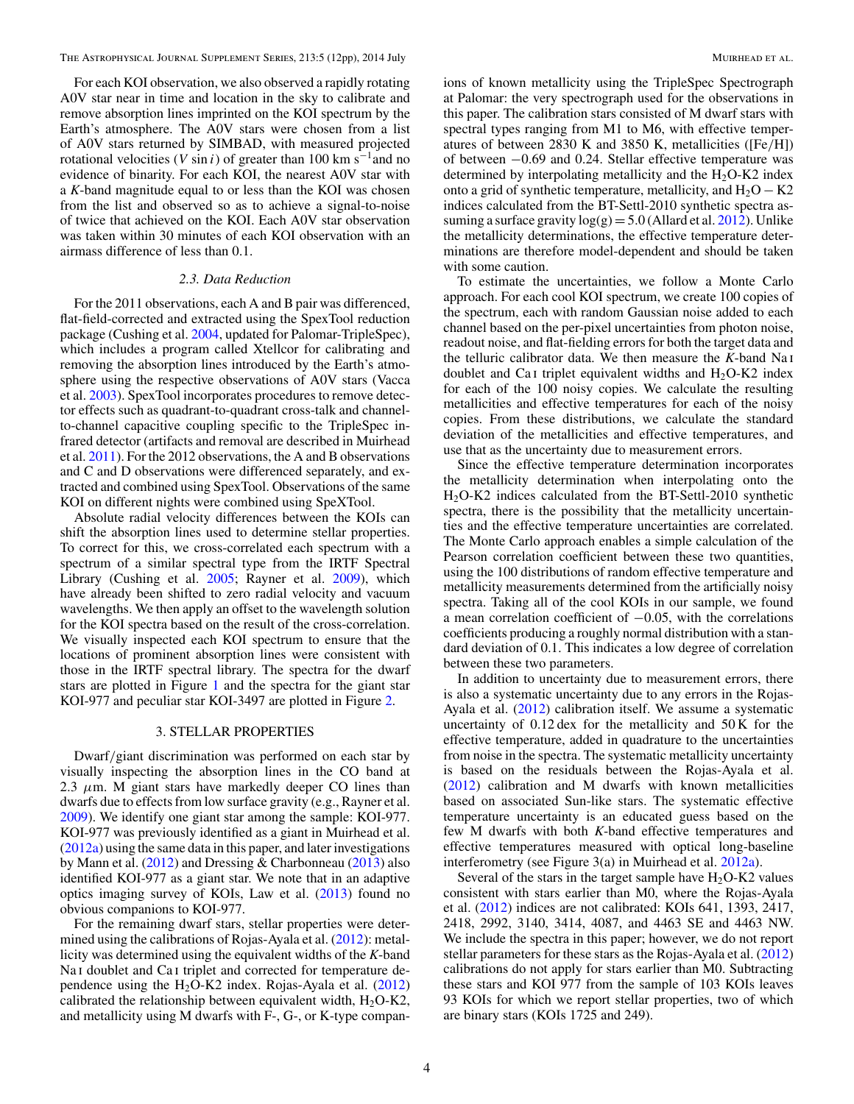<span id="page-3-0"></span>The Astrophysical Journal Supplement Series, 213:5 (12pp), 2014 July Muirhead et al.

For each KOI observation, we also observed a rapidly rotating A0V star near in time and location in the sky to calibrate and remove absorption lines imprinted on the KOI spectrum by the Earth's atmosphere. The A0V stars were chosen from a list of A0V stars returned by SIMBAD, with measured projected rotational velocities (*V* sin *i*) of greater than 100 km s<sup> $-1$ </sup> and no evidence of binarity. For each KOI, the nearest A0V star with a *K*-band magnitude equal to or less than the KOI was chosen from the list and observed so as to achieve a signal-to-noise of twice that achieved on the KOI. Each A0V star observation was taken within 30 minutes of each KOI observation with an airmass difference of less than 0.1.

#### *2.3. Data Reduction*

For the 2011 observations, each A and B pair was differenced, flat-field-corrected and extracted using the SpexTool reduction package (Cushing et al. [2004,](#page-10-0) updated for Palomar-TripleSpec), which includes a program called Xtellcor for calibrating and removing the absorption lines introduced by the Earth's atmosphere using the respective observations of A0V stars (Vacca et al. [2003\)](#page-11-0). SpexTool incorporates procedures to remove detector effects such as quadrant-to-quadrant cross-talk and channelto-channel capacitive coupling specific to the TripleSpec infrared detector (artifacts and removal are described in Muirhead et al. [2011\)](#page-11-0). For the 2012 observations, the A and B observations and C and D observations were differenced separately, and extracted and combined using SpexTool. Observations of the same KOI on different nights were combined using SpeXTool.

Absolute radial velocity differences between the KOIs can shift the absorption lines used to determine stellar properties. To correct for this, we cross-correlated each spectrum with a spectrum of a similar spectral type from the IRTF Spectral Library (Cushing et al. [2005;](#page-10-0) Rayner et al. [2009\)](#page-11-0), which have already been shifted to zero radial velocity and vacuum wavelengths. We then apply an offset to the wavelength solution for the KOI spectra based on the result of the cross-correlation. We visually inspected each KOI spectrum to ensure that the locations of prominent absorption lines were consistent with those in the IRTF spectral library. The spectra for the dwarf stars are plotted in Figure [1](#page-4-0) and the spectra for the giant star KOI-977 and peculiar star KOI-3497 are plotted in Figure [2.](#page-5-0)

#### 3. STELLAR PROPERTIES

Dwarf*/*giant discrimination was performed on each star by visually inspecting the absorption lines in the CO band at 2.3  $\mu$ m. M giant stars have markedly deeper CO lines than dwarfs due to effects from low surface gravity (e.g., Rayner et al. [2009\)](#page-11-0). We identify one giant star among the sample: KOI-977. KOI-977 was previously identified as a giant in Muirhead et al. [\(2012a\)](#page-11-0) using the same data in this paper, and later investigations by Mann et al. [\(2012\)](#page-11-0) and Dressing & Charbonneau [\(2013\)](#page-10-0) also identified KOI-977 as a giant star. We note that in an adaptive optics imaging survey of KOIs, Law et al. [\(2013\)](#page-10-0) found no obvious companions to KOI-977.

For the remaining dwarf stars, stellar properties were determined using the calibrations of Rojas-Ayala et al. [\(2012\)](#page-11-0): metallicity was determined using the equivalent widths of the *K*-band Na<sub>I</sub> doublet and Ca<sub>I</sub> triplet and corrected for temperature dependence using the  $H_2O-K2$  index. Rojas-Ayala et al. [\(2012\)](#page-11-0) calibrated the relationship between equivalent width,  $H_2O-K2$ , and metallicity using M dwarfs with F-, G-, or K-type companions of known metallicity using the TripleSpec Spectrograph at Palomar: the very spectrograph used for the observations in this paper. The calibration stars consisted of M dwarf stars with spectral types ranging from M1 to M6, with effective temperatures of between 2830 K and 3850 K, metallicities ([Fe*/*H]) of between −0.69 and 0.24. Stellar effective temperature was determined by interpolating metallicity and the  $H<sub>2</sub>O-K2$  index onto a grid of synthetic temperature, metallicity, and  $H_2O - K2$ indices calculated from the BT-Settl-2010 synthetic spectra assuming a surface gravity  $log(g) = 5.0$  (Allard et al. [2012\)](#page-10-0). Unlike the metallicity determinations, the effective temperature determinations are therefore model-dependent and should be taken with some caution.

To estimate the uncertainties, we follow a Monte Carlo approach. For each cool KOI spectrum, we create 100 copies of the spectrum, each with random Gaussian noise added to each channel based on the per-pixel uncertainties from photon noise, readout noise, and flat-fielding errors for both the target data and the telluric calibrator data. We then measure the *K*-band Na i doublet and Ca<sub>I</sub> triplet equivalent widths and  $H_2O-K2$  index for each of the 100 noisy copies. We calculate the resulting metallicities and effective temperatures for each of the noisy copies. From these distributions, we calculate the standard deviation of the metallicities and effective temperatures, and use that as the uncertainty due to measurement errors.

Since the effective temperature determination incorporates the metallicity determination when interpolating onto the H2O-K2 indices calculated from the BT-Settl-2010 synthetic spectra, there is the possibility that the metallicity uncertainties and the effective temperature uncertainties are correlated. The Monte Carlo approach enables a simple calculation of the Pearson correlation coefficient between these two quantities, using the 100 distributions of random effective temperature and metallicity measurements determined from the artificially noisy spectra. Taking all of the cool KOIs in our sample, we found a mean correlation coefficient of −0.05, with the correlations coefficients producing a roughly normal distribution with a standard deviation of 0.1. This indicates a low degree of correlation between these two parameters.

In addition to uncertainty due to measurement errors, there is also a systematic uncertainty due to any errors in the Rojas-Ayala et al. [\(2012\)](#page-11-0) calibration itself. We assume a systematic uncertainty of 0.12 dex for the metallicity and 50 K for the effective temperature, added in quadrature to the uncertainties from noise in the spectra. The systematic metallicity uncertainty is based on the residuals between the Rojas-Ayala et al. [\(2012\)](#page-11-0) calibration and M dwarfs with known metallicities based on associated Sun-like stars. The systematic effective temperature uncertainty is an educated guess based on the few M dwarfs with both *K*-band effective temperatures and effective temperatures measured with optical long-baseline interferometry (see Figure 3(a) in Muirhead et al. [2012a\)](#page-11-0).

Several of the stars in the target sample have  $H_2O-K2$  values consistent with stars earlier than M0, where the Rojas-Ayala et al. [\(2012\)](#page-11-0) indices are not calibrated: KOIs 641, 1393, 2417, 2418, 2992, 3140, 3414, 4087, and 4463 SE and 4463 NW. We include the spectra in this paper; however, we do not report stellar parameters for these stars as the Rojas-Ayala et al. [\(2012\)](#page-11-0) calibrations do not apply for stars earlier than M0. Subtracting these stars and KOI 977 from the sample of 103 KOIs leaves 93 KOIs for which we report stellar properties, two of which are binary stars (KOIs 1725 and 249).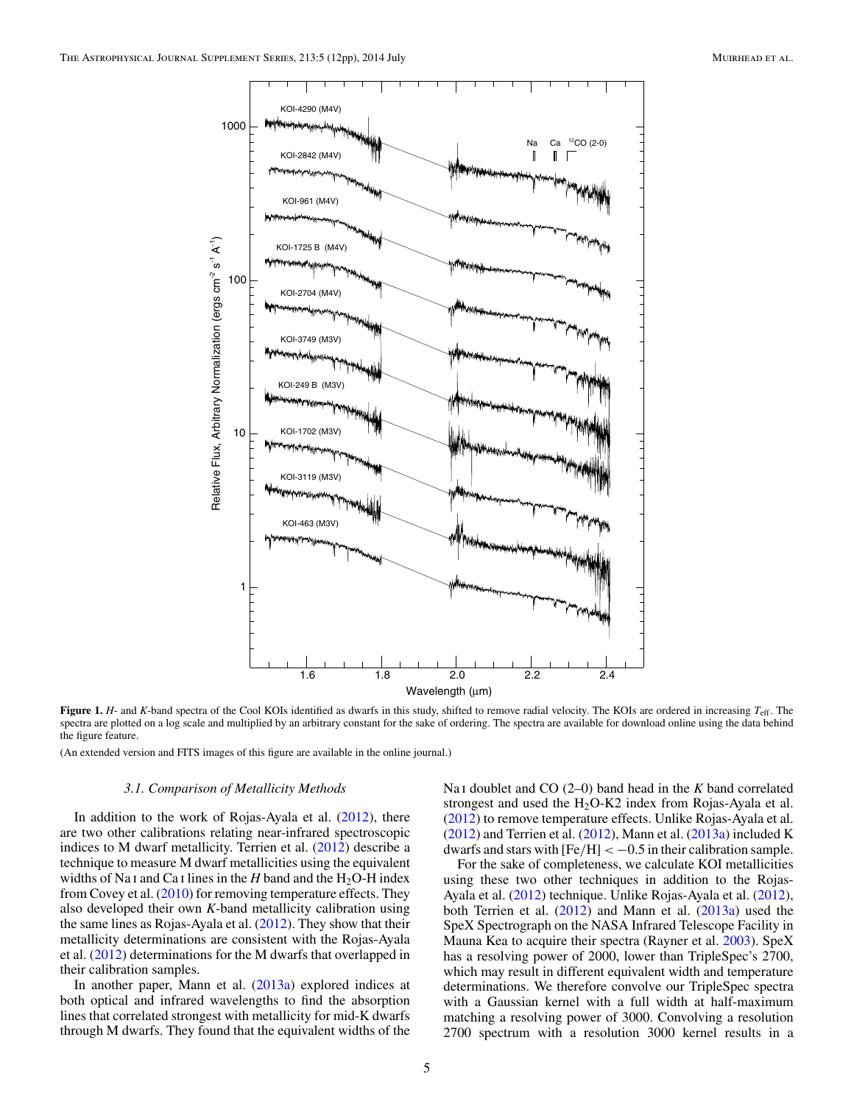<span id="page-4-0"></span>

**Figure 1.** *H*- and *K*-band spectra of the Cool KOIs identified as dwarfs in this study, shifted to remove radial velocity. The KOIs are ordered in increasing  $T_{\text{eff}}$ . The spectra are plotted on a log scale and multiplied by an arbitrary constant for the sake of ordering. The spectra are available for download online using the data behind the figure feature.

(An extended version and FITS images of this figure are available in the online journal.)

### *3.1. Comparison of Metallicity Methods*

In addition to the work of Rojas-Ayala et al. [\(2012\)](#page-11-0), there are two other calibrations relating near-infrared spectroscopic indices to M dwarf metallicity. Terrien et al. [\(2012\)](#page-11-0) describe a technique to measure M dwarf metallicities using the equivalent widths of Na<sub>I</sub> and Ca<sub>I</sub> lines in the *H* band and the  $H_2O$ -H index from Covey et al. [\(2010\)](#page-10-0) for removing temperature effects. They also developed their own *K*-band metallicity calibration using the same lines as Rojas-Ayala et al. [\(2012\)](#page-11-0). They show that their metallicity determinations are consistent with the Rojas-Ayala et al. [\(2012\)](#page-11-0) determinations for the M dwarfs that overlapped in their calibration samples.

In another paper, Mann et al. [\(2013a\)](#page-11-0) explored indices at both optical and infrared wavelengths to find the absorption lines that correlated strongest with metallicity for mid-K dwarfs through M dwarfs. They found that the equivalent widths of the Na i doublet and CO (2–0) band head in the *K* band correlated strongest and used the  $H<sub>2</sub>O-K2$  index from Rojas-Ayala et al. [\(2012\)](#page-11-0) to remove temperature effects. Unlike Rojas-Ayala et al.  $(2012)$  and Terrien et al.  $(2012)$ , Mann et al.  $(2013a)$  included K dwarfs and stars with  $[Fe/H] < -0.5$  in their calibration sample.

For the sake of completeness, we calculate KOI metallicities using these two other techniques in addition to the Rojas-Ayala et al. [\(2012\)](#page-11-0) technique. Unlike Rojas-Ayala et al. [\(2012\)](#page-11-0), both Terrien et al. [\(2012\)](#page-11-0) and Mann et al. [\(2013a\)](#page-11-0) used the SpeX Spectrograph on the NASA Infrared Telescope Facility in Mauna Kea to acquire their spectra (Rayner et al. [2003\)](#page-11-0). SpeX has a resolving power of 2000, lower than TripleSpec's 2700, which may result in different equivalent width and temperature determinations. We therefore convolve our TripleSpec spectra with a Gaussian kernel with a full width at half-maximum matching a resolving power of 3000. Convolving a resolution 2700 spectrum with a resolution 3000 kernel results in a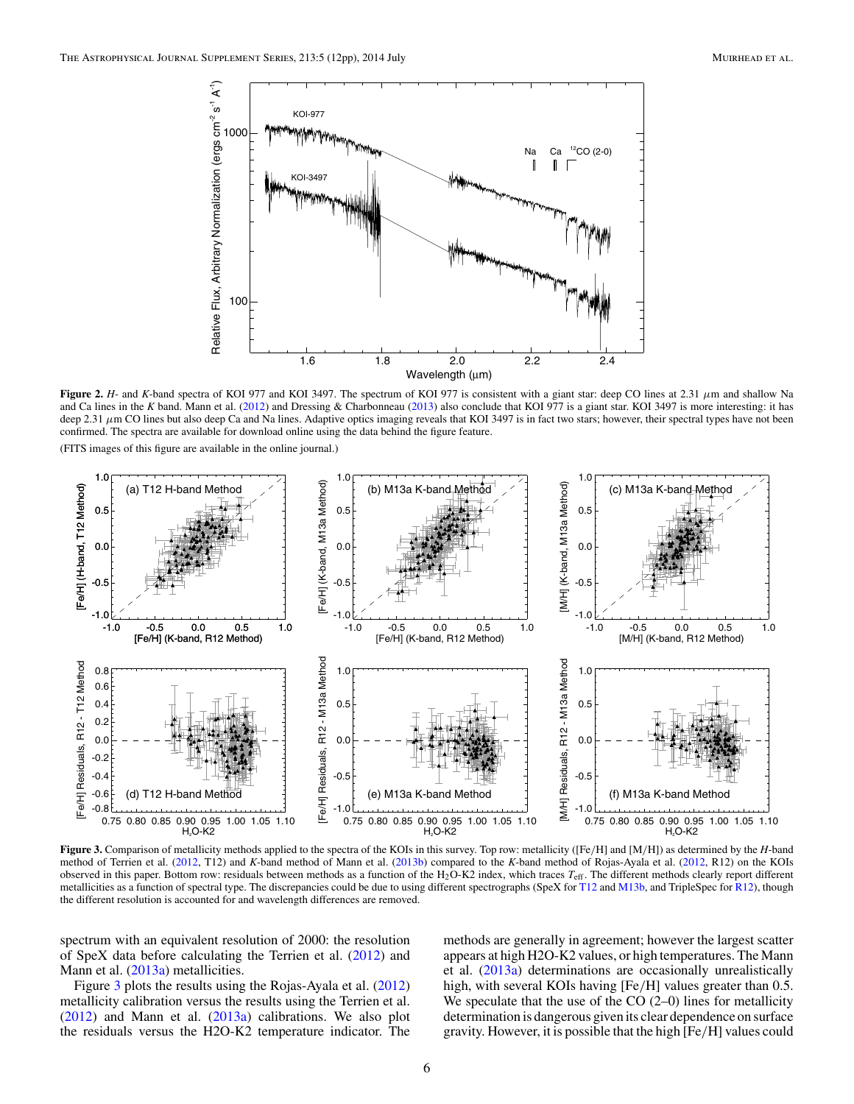<span id="page-5-0"></span>

**Figure 2.** *H*- and *K*-band spectra of KOI 977 and KOI 3497. The spectrum of KOI 977 is consistent with a giant star: deep CO lines at 2.31 *μ*m and shallow Na and Ca lines in the *K* band. Mann et al. [\(2012\)](#page-11-0) and Dressing & Charbonneau [\(2013\)](#page-10-0) also conclude that KOI 977 is a giant star. KOI 3497 is more interesting: it has deep 2.31  $\mu$ m CO lines but also deep Ca and Na lines. Adaptive optics imaging reveals that KOI 3497 is in fact two stars; however, their spectral types have not been confirmed. The spectra are available for download online using the data behind the figure feature.

(FITS images of this figure are available in the online journal.)



**Figure 3.** Comparison of metallicity methods applied to the spectra of the KOIs in this survey. Top row: metallicity ([Fe*/*H] and [M*/*H]) as determined by the *H*-band method of Terrien et al. [\(2012,](#page-11-0) T12) and *K*-band method of Mann et al. [\(2013b\)](#page-11-0) compared to the *K*-band method of Rojas-Ayala et al. [\(2012,](#page-11-0) R12) on the KOIs observed in this paper. Bottom row: residuals between methods as a function of the H2O-K2 index, which traces *T*eff. The different methods clearly report different metallicities as a function of spectral type. The discrepancies could be due to using different spectrographs (SpeX for [T12](#page-11-0) and [M13b,](#page-11-0) and TripleSpec for [R12\)](#page-11-0), though the different resolution is accounted for and wavelength differences are removed.

spectrum with an equivalent resolution of 2000: the resolution of SpeX data before calculating the Terrien et al.  $(2012)$  and Mann et al. [\(2013a\)](#page-11-0) metallicities.

Figure 3 plots the results using the Rojas-Ayala et al. [\(2012\)](#page-11-0) metallicity calibration versus the results using the Terrien et al. [\(2012\)](#page-11-0) and Mann et al. [\(2013a\)](#page-11-0) calibrations. We also plot the residuals versus the H2O-K2 temperature indicator. The

methods are generally in agreement; however the largest scatter appears at high H2O-K2 values, or high temperatures. The Mann et al. [\(2013a\)](#page-11-0) determinations are occasionally unrealistically high, with several KOIs having [Fe*/*H] values greater than 0.5. We speculate that the use of the  $CO(2-0)$  lines for metallicity determination is dangerous given its clear dependence on surface gravity. However, it is possible that the high [Fe*/*H] values could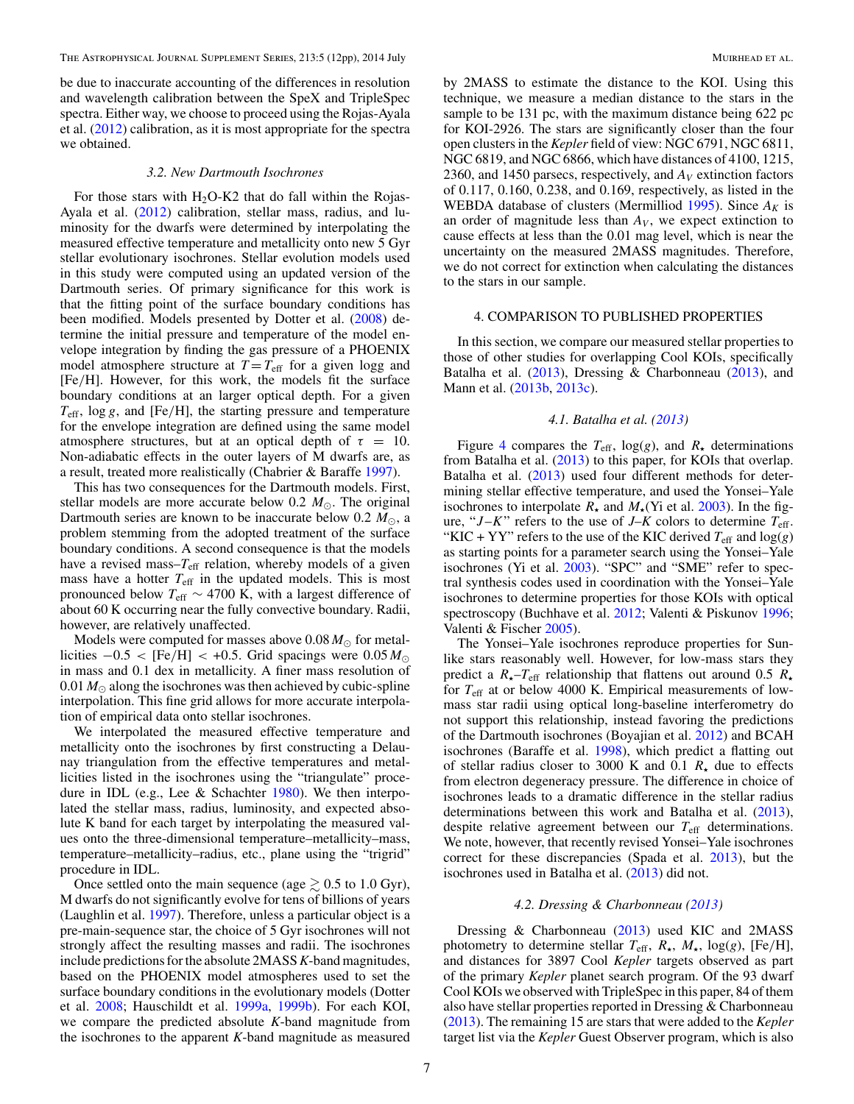<span id="page-6-0"></span>be due to inaccurate accounting of the differences in resolution and wavelength calibration between the SpeX and TripleSpec spectra. Either way, we choose to proceed using the Rojas-Ayala et al. [\(2012\)](#page-11-0) calibration, as it is most appropriate for the spectra we obtained.

#### *3.2. New Dartmouth Isochrones*

For those stars with  $H<sub>2</sub>O-K2$  that do fall within the Rojas-Ayala et al. [\(2012\)](#page-11-0) calibration, stellar mass, radius, and luminosity for the dwarfs were determined by interpolating the measured effective temperature and metallicity onto new 5 Gyr stellar evolutionary isochrones. Stellar evolution models used in this study were computed using an updated version of the Dartmouth series. Of primary significance for this work is that the fitting point of the surface boundary conditions has been modified. Models presented by Dotter et al. [\(2008\)](#page-10-0) determine the initial pressure and temperature of the model envelope integration by finding the gas pressure of a PHOENIX model atmosphere structure at  $T = T_{\text{eff}}$  for a given logg and [Fe*/*H]. However, for this work, the models fit the surface boundary conditions at an larger optical depth. For a given *T*eff, log *g*, and [Fe*/*H], the starting pressure and temperature for the envelope integration are defined using the same model atmosphere structures, but at an optical depth of  $\tau = 10$ . Non-adiabatic effects in the outer layers of M dwarfs are, as a result, treated more realistically (Chabrier & Baraffe [1997\)](#page-10-0).

This has two consequences for the Dartmouth models. First, stellar models are more accurate below 0.2  $M_{\odot}$ . The original Dartmouth series are known to be inaccurate below  $0.2 M_{\odot}$ , a problem stemming from the adopted treatment of the surface boundary conditions. A second consequence is that the models have a revised mass– $T_{\text{eff}}$  relation, whereby models of a given mass have a hotter  $T_{\text{eff}}$  in the updated models. This is most pronounced below  $T_{\text{eff}} \sim 4700$  K, with a largest difference of about 60 K occurring near the fully convective boundary. Radii, however, are relatively unaffected.

Models were computed for masses above  $0.08 M_{\odot}$  for metallicities  $-0.5 <$  [Fe/H] < +0.5. Grid spacings were 0.05  $M_{\odot}$ in mass and 0.1 dex in metallicity. A finer mass resolution of  $0.01 M_{\odot}$  along the isochrones was then achieved by cubic-spline interpolation. This fine grid allows for more accurate interpolation of empirical data onto stellar isochrones.

We interpolated the measured effective temperature and metallicity onto the isochrones by first constructing a Delaunay triangulation from the effective temperatures and metallicities listed in the isochrones using the "triangulate" procedure in IDL (e.g., Lee & Schachter [1980\)](#page-10-0). We then interpolated the stellar mass, radius, luminosity, and expected absolute K band for each target by interpolating the measured values onto the three-dimensional temperature–metallicity–mass, temperature–metallicity–radius, etc., plane using the "trigrid" procedure in IDL.

Once settled onto the main sequence (age  $\geq 0.5$  to 1.0 Gyr), M dwarfs do not significantly evolve for tens of billions of years (Laughlin et al. [1997\)](#page-10-0). Therefore, unless a particular object is a pre-main-sequence star, the choice of 5 Gyr isochrones will not strongly affect the resulting masses and radii. The isochrones include predictions for the absolute 2MASS*K*-band magnitudes, based on the PHOENIX model atmospheres used to set the surface boundary conditions in the evolutionary models (Dotter et al. [2008;](#page-10-0) Hauschildt et al. [1999a,](#page-10-0) [1999b\)](#page-10-0). For each KOI, we compare the predicted absolute *K*-band magnitude from the isochrones to the apparent *K*-band magnitude as measured

by 2MASS to estimate the distance to the KOI. Using this technique, we measure a median distance to the stars in the sample to be 131 pc, with the maximum distance being 622 pc for KOI-2926. The stars are significantly closer than the four open clusters in the *Kepler* field of view: NGC 6791, NGC 6811, NGC 6819, and NGC 6866, which have distances of 4100, 1215, 2360, and 1450 parsecs, respectively, and  $A_V$  extinction factors of 0.117, 0.160, 0.238, and 0.169, respectively, as listed in the WEBDA database of clusters (Mermilliod [1995\)](#page-11-0). Since  $A_K$  is an order of magnitude less than  $A_V$ , we expect extinction to cause effects at less than the 0.01 mag level, which is near the uncertainty on the measured 2MASS magnitudes. Therefore, we do not correct for extinction when calculating the distances to the stars in our sample.

#### 4. COMPARISON TO PUBLISHED PROPERTIES

In this section, we compare our measured stellar properties to those of other studies for overlapping Cool KOIs, specifically Batalha et al. [\(2013\)](#page-10-0), Dressing & Charbonneau [\(2013\)](#page-10-0), and Mann et al. [\(2013b,](#page-11-0) [2013c\)](#page-11-0).

### *4.1. Batalha et al. [\(2013\)](#page-10-0)*

Figure [4](#page-7-0) compares the  $T_{\text{eff}}$ , log(g), and  $R_{\star}$  determinations from Batalha et al. [\(2013\)](#page-10-0) to this paper, for KOIs that overlap. Batalha et al. [\(2013\)](#page-10-0) used four different methods for determining stellar effective temperature, and used the Yonsei–Yale isochrones to interpolate  $R_{\star}$  and  $M_{\star}$ (Yi et al. [2003\)](#page-11-0). In the figure, " $J-K$ " refers to the use of  $J-K$  colors to determine  $T_{\text{eff}}$ . "KIC + YY" refers to the use of the KIC derived  $T_{\text{eff}}$  and  $\log(g)$ as starting points for a parameter search using the Yonsei–Yale isochrones (Yi et al. [2003\)](#page-11-0). "SPC" and "SME" refer to spectral synthesis codes used in coordination with the Yonsei–Yale isochrones to determine properties for those KOIs with optical spectroscopy (Buchhave et al. [2012;](#page-10-0) Valenti & Piskunov [1996;](#page-11-0) Valenti & Fischer [2005\)](#page-11-0).

The Yonsei–Yale isochrones reproduce properties for Sunlike stars reasonably well. However, for low-mass stars they predict a *R-*–*T*eff relationship that flattens out around 0.5 *R* for *T*eff at or below 4000 K. Empirical measurements of lowmass star radii using optical long-baseline interferometry do not support this relationship, instead favoring the predictions of the Dartmouth isochrones (Boyajian et al. [2012\)](#page-10-0) and BCAH isochrones (Baraffe et al. [1998\)](#page-10-0), which predict a flatting out of stellar radius closer to 3000 K and 0.1 *R-* due to effects from electron degeneracy pressure. The difference in choice of isochrones leads to a dramatic difference in the stellar radius determinations between this work and Batalha et al. [\(2013\)](#page-10-0), despite relative agreement between our *T*eff determinations. We note, however, that recently revised Yonsei–Yale isochrones correct for these discrepancies (Spada et al. [2013\)](#page-11-0), but the isochrones used in Batalha et al. [\(2013\)](#page-10-0) did not.

### *4.2. Dressing & Charbonneau [\(2013\)](#page-10-0)*

Dressing & Charbonneau [\(2013\)](#page-10-0) used KIC and 2MASS photometry to determine stellar *T*eff, *R-*, *M-*, log(*g*), [Fe*/*H], and distances for 3897 Cool *Kepler* targets observed as part of the primary *Kepler* planet search program. Of the 93 dwarf Cool KOIs we observed with TripleSpec in this paper, 84 of them also have stellar properties reported in Dressing & Charbonneau [\(2013\)](#page-10-0). The remaining 15 are stars that were added to the *Kepler* target list via the *Kepler* Guest Observer program, which is also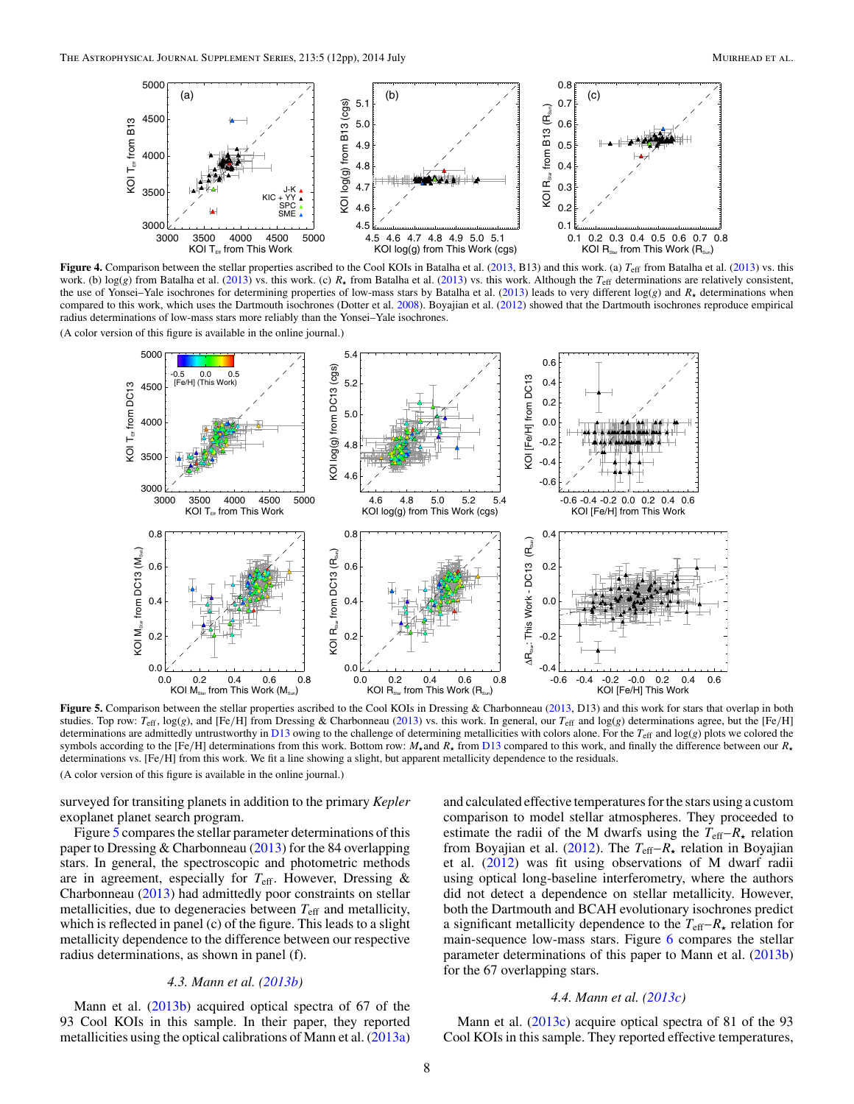<span id="page-7-0"></span>

**Figure 4.** Comparison between the stellar properties ascribed to the Cool KOIs in Batalha et al. [\(2013,](#page-10-0) B13) and this work. (a)  $T_{\text{eff}}$  from Batalha et al. [\(2013\)](#page-10-0) vs. this work. (b)  $\log(g)$  from Batalha et al. [\(2013\)](#page-10-0) vs. this work. (c)  $R_{\star}$  from Batalha et al. (2013) vs. this work. Although the  $T_{\text{eff}}$  determinations are relatively consistent, the use of Yonsei–Yale isochrones for determining properties of low-mass stars by Batalha et al. [\(2013\)](#page-10-0) leads to very different log(*g*) and *R-* determinations when compared to this work, which uses the Dartmouth isochrones (Dotter et al. [2008\)](#page-10-0). Boyajian et al. [\(2012\)](#page-10-0) showed that the Dartmouth isochrones reproduce empirical radius determinations of low-mass stars more reliably than the Yonsei–Yale isochrones.

(A color version of this figure is available in the online journal.)



Figure 5. Comparison between the stellar properties ascribed to the Cool KOIs in Dressing & Charbonneau [\(2013,](#page-10-0) D13) and this work for stars that overlap in both studies. Top row: *T*eff, log(*g*), and [Fe*/*H] from Dressing & Charbonneau [\(2013\)](#page-10-0) vs. this work. In general, our *T*eff and log(*g*) determinations agree, but the [Fe*/*H] determinations are admittedly untrustworthy in [D13](#page-10-0) owing to the challenge of determining metallicities with colors alone. For the *T*eff and log(*g*) plots we colored the symbols according to the [Fe/H] determinations from this work. Bottom row:  $M_{\star}$  and  $R_{\star}$  from [D13](#page-10-0) compared to this work, and finally the difference between our  $R_{\star}$ determinations vs. [Fe*/*H] from this work. We fit a line showing a slight, but apparent metallicity dependence to the residuals. (A color version of this figure is available in the online journal.)

surveyed for transiting planets in addition to the primary *Kepler* exoplanet planet search program.

Figure 5 compares the stellar parameter determinations of this paper to Dressing & Charbonneau [\(2013\)](#page-10-0) for the 84 overlapping stars. In general, the spectroscopic and photometric methods are in agreement, especially for *T*eff. However, Dressing & Charbonneau [\(2013\)](#page-10-0) had admittedly poor constraints on stellar metallicities, due to degeneracies between *T*eff and metallicity, which is reflected in panel (c) of the figure. This leads to a slight metallicity dependence to the difference between our respective radius determinations, as shown in panel (f).

### *4.3. Mann et al. [\(2013b\)](#page-11-0)*

Mann et al. [\(2013b\)](#page-11-0) acquired optical spectra of 67 of the 93 Cool KOIs in this sample. In their paper, they reported metallicities using the optical calibrations of Mann et al. [\(2013a\)](#page-11-0) and calculated effective temperatures for the stars using a custom comparison to model stellar atmospheres. They proceeded to estimate the radii of the M dwarfs using the  $T_{\text{eff}}-R_{\star}$  relation from Boyajian et al. [\(2012\)](#page-10-0). The *T*eff–*R-* relation in Boyajian et al. [\(2012\)](#page-10-0) was fit using observations of M dwarf radii using optical long-baseline interferometry, where the authors did not detect a dependence on stellar metallicity. However, both the Dartmouth and BCAH evolutionary isochrones predict a significant metallicity dependence to the *T*eff–*R-* relation for main-sequence low-mass stars. Figure [6](#page-8-0) compares the stellar parameter determinations of this paper to Mann et al. [\(2013b\)](#page-11-0) for the 67 overlapping stars.

### *4.4. Mann et al. [\(2013c\)](#page-11-0)*

Mann et al. [\(2013c\)](#page-11-0) acquire optical spectra of 81 of the 93 Cool KOIs in this sample. They reported effective temperatures,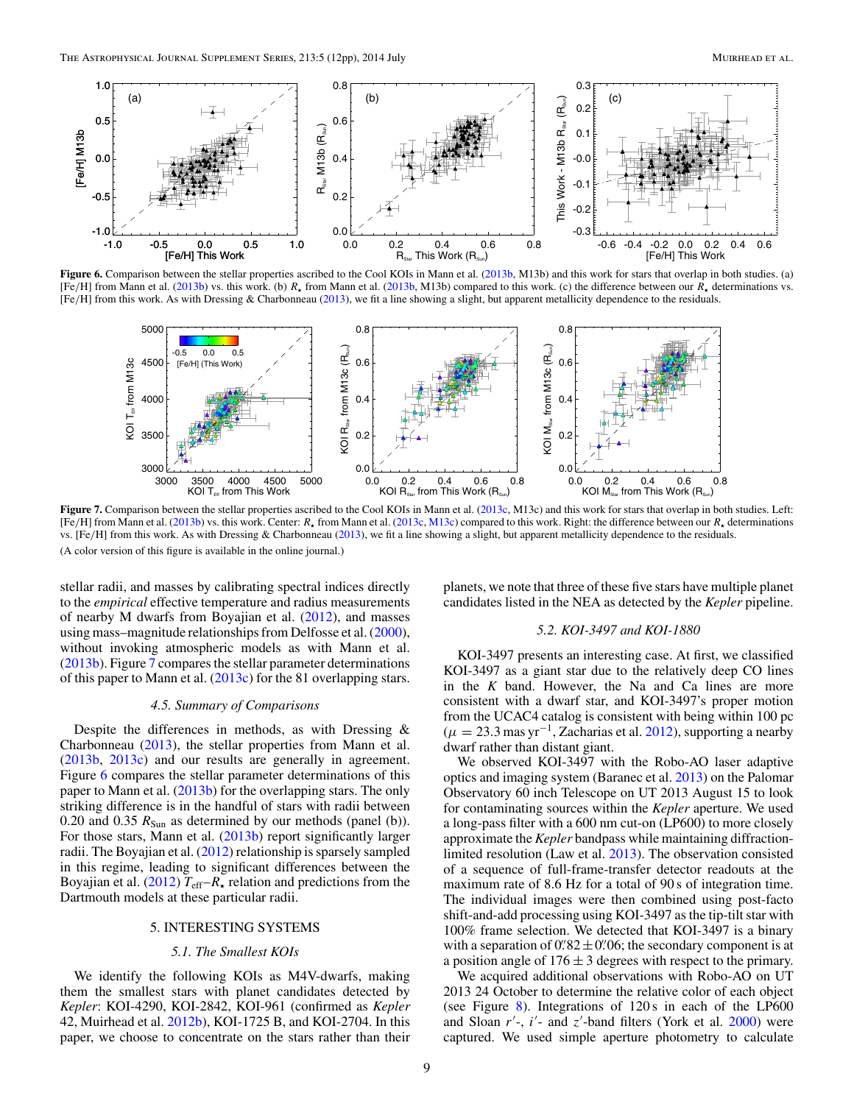<span id="page-8-0"></span>

Figure 6. Comparison between the stellar properties ascribed to the Cool KOIs in Mann et al. [\(2013b,](#page-11-0) M13b) and this work for stars that overlap in both studies. (a) [Fe/H] from Mann et al. [\(2013b\)](#page-11-0) vs. this work. (b)  $R_{\star}$  from Mann et al. [\(2013b,](#page-11-0) M13b) compared to this work. (c) the difference between our  $R_{\star}$  determinations vs. [Fe*/*H] from this work. As with Dressing & Charbonneau [\(2013\)](#page-10-0), we fit a line showing a slight, but apparent metallicity dependence to the residuals.



**Figure 7.** Comparison between the stellar properties ascribed to the Cool KOIs in Mann et al. [\(2013c,](#page-11-0) M13c) and this work for stars that overlap in both studies. Left: [Fe*/*H] from Mann et al. [\(2013b\)](#page-11-0) vs. this work. Center: *R-* from Mann et al. [\(2013c,](#page-11-0) [M13c\)](#page-11-0) compared to this work. Right: the difference between our *R-* determinations vs. [Fe*/*H] from this work. As with Dressing & Charbonneau [\(2013\)](#page-10-0), we fit a line showing a slight, but apparent metallicity dependence to the residuals. (A color version of this figure is available in the online journal.)

stellar radii, and masses by calibrating spectral indices directly to the *empirical* effective temperature and radius measurements of nearby M dwarfs from Boyajian et al. [\(2012\)](#page-10-0), and masses using mass–magnitude relationships from Delfosse et al. [\(2000\)](#page-10-0), without invoking atmospheric models as with Mann et al. [\(2013b\)](#page-11-0). Figure 7 compares the stellar parameter determinations of this paper to Mann et al. [\(2013c\)](#page-11-0) for the 81 overlapping stars.

### *4.5. Summary of Comparisons*

Despite the differences in methods, as with Dressing & Charbonneau [\(2013\)](#page-10-0), the stellar properties from Mann et al. [\(2013b,](#page-11-0) [2013c\)](#page-11-0) and our results are generally in agreement. Figure 6 compares the stellar parameter determinations of this paper to Mann et al. [\(2013b\)](#page-11-0) for the overlapping stars. The only striking difference is in the handful of stars with radii between 0.20 and 0.35  $R_{Sun}$  as determined by our methods (panel (b)). For those stars, Mann et al. [\(2013b\)](#page-11-0) report significantly larger radii. The Boyajian et al. [\(2012\)](#page-10-0) relationship is sparsely sampled in this regime, leading to significant differences between the Boyajian et al. [\(2012\)](#page-10-0)  $T_{\text{eff}}-R_{\star}$  relation and predictions from the Dartmouth models at these particular radii.

# 5. INTERESTING SYSTEMS

### *5.1. The Smallest KOIs*

We identify the following KOIs as M4V-dwarfs, making them the smallest stars with planet candidates detected by *Kepler*: KOI-4290, KOI-2842, KOI-961 (confirmed as *Kepler* 42, Muirhead et al. [2012b\)](#page-11-0), KOI-1725 B, and KOI-2704. In this paper, we choose to concentrate on the stars rather than their

planets, we note that three of these five stars have multiple planet candidates listed in the NEA as detected by the *Kepler* pipeline.

### *5.2. KOI-3497 and KOI-1880*

KOI-3497 presents an interesting case. At first, we classified KOI-3497 as a giant star due to the relatively deep CO lines in the  $K$  band. However, the Na and Ca lines are more consistent with a dwarf star, and KOI-3497's proper motion from the UCAC4 catalog is consistent with being within 100 pc  $(\mu = 23.3 \text{ mas yr}^{-1}$ , Zacharias et al. [2012\)](#page-11-0), supporting a nearby dwarf rather than distant giant.

We observed KOI-3497 with the Robo-AO laser adaptive optics and imaging system (Baranec et al. [2013\)](#page-10-0) on the Palomar Observatory 60 inch Telescope on UT 2013 August 15 to look for contaminating sources within the *Kepler* aperture. We used a long-pass filter with a 600 nm cut-on (LP600) to more closely approximate the *Kepler* bandpass while maintaining diffractionlimited resolution (Law et al. [2013\)](#page-10-0). The observation consisted of a sequence of full-frame-transfer detector readouts at the maximum rate of 8.6 Hz for a total of 90 s of integration time. The individual images were then combined using post-facto shift-and-add processing using KOI-3497 as the tip-tilt star with 100% frame selection. We detected that KOI-3497 is a binary with a separation of  $0$ .  $82 \pm 0$ . 06; the secondary component is at a position angle of  $176 \pm 3$  degrees with respect to the primary.

We acquired additional observations with Robo-AO on UT 2013 24 October to determine the relative color of each object (see Figure [8\)](#page-9-0). Integrations of 120 s in each of the LP600 and Sloan r'-, i'- and z'-band filters (York et al. [2000\)](#page-11-0) were captured. We used simple aperture photometry to calculate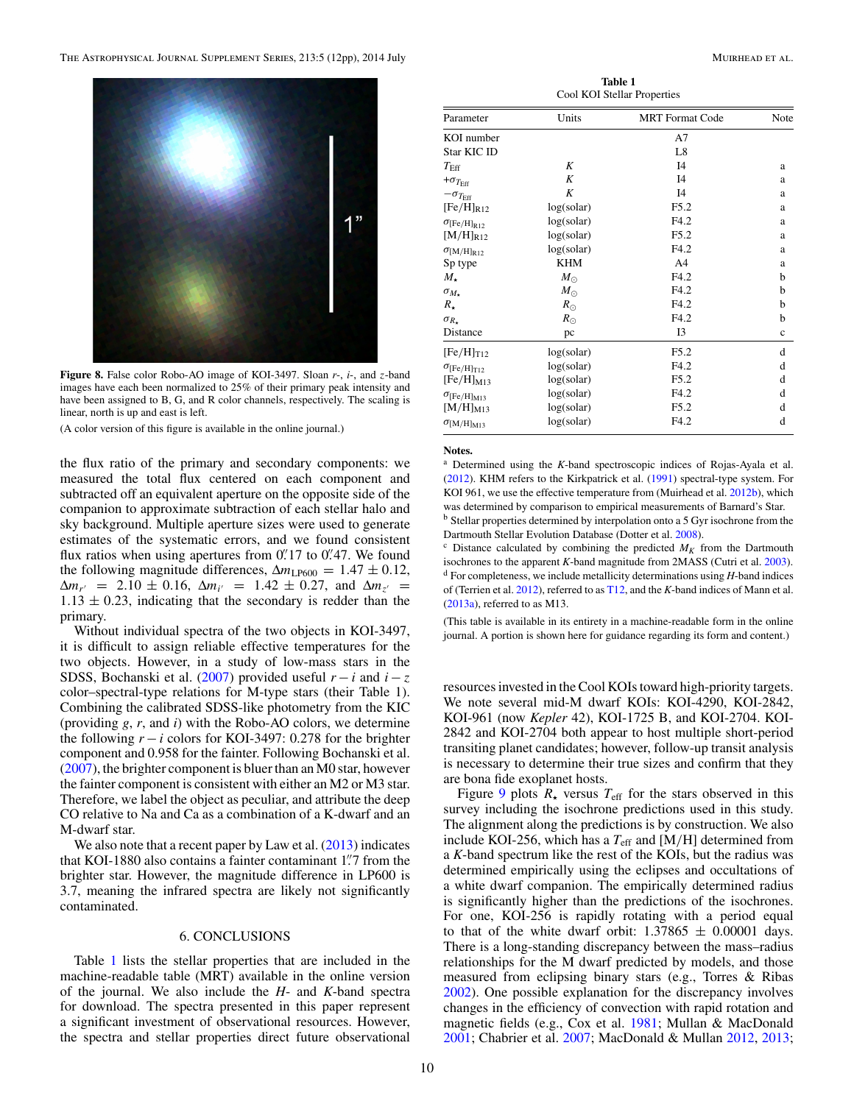<span id="page-9-0"></span>

**Figure 8.** False color Robo-AO image of KOI-3497. Sloan *r*-, *i*-, and *z*-band images have each been normalized to 25% of their primary peak intensity and have been assigned to B, G, and R color channels, respectively. The scaling is linear, north is up and east is left.

(A color version of this figure is available in the online journal.)

the flux ratio of the primary and secondary components: we measured the total flux centered on each component and subtracted off an equivalent aperture on the opposite side of the companion to approximate subtraction of each stellar halo and sky background. Multiple aperture sizes were used to generate estimates of the systematic errors, and we found consistent flux ratios when using apertures from 0. 17 to 0. 47. We found the following magnitude differences,  $\Delta m_{LP600} = 1.47 \pm 0.12$ ,  $\Delta m_{r'}$  = 2.10 ± 0.16,  $\Delta m_{i'}$  = 1.42 ± 0.27, and  $\Delta m_{i'}$  =  $1.13 \pm 0.23$ , indicating that the secondary is redder than the primary.

Without individual spectra of the two objects in KOI-3497, it is difficult to assign reliable effective temperatures for the two objects. However, in a study of low-mass stars in the SDSS, Bochanski et al. [\(2007\)](#page-10-0) provided useful  $r - i$  and  $i - z$ color–spectral-type relations for M-type stars (their Table 1). Combining the calibrated SDSS-like photometry from the KIC (providing *g*, *r*, and *i*) with the Robo-AO colors, we determine the following  $r - i$  colors for KOI-3497: 0.278 for the brighter component and 0.958 for the fainter. Following Bochanski et al. [\(2007\)](#page-10-0), the brighter component is bluer than an M0 star, however the fainter component is consistent with either an M2 or M3 star. Therefore, we label the object as peculiar, and attribute the deep CO relative to Na and Ca as a combination of a K-dwarf and an M-dwarf star.

We also note that a recent paper by Law et al. [\(2013\)](#page-10-0) indicates that KOI-1880 also contains a fainter contaminant 1*.* 7 from the brighter star. However, the magnitude difference in LP600 is 3.7, meaning the infrared spectra are likely not significantly contaminated.

# 6. CONCLUSIONS

Table 1 lists the stellar properties that are included in the machine-readable table (MRT) available in the online version of the journal. We also include the *H*- and *K*-band spectra for download. The spectra presented in this paper represent a significant investment of observational resources. However, the spectra and stellar properties direct future observational

**Table 1** Cool KOI Stellar Properties

| Parameter                      | Units       | <b>MRT</b> Format Code | Note        |
|--------------------------------|-------------|------------------------|-------------|
| KOI number                     |             | A7                     |             |
| Star KIC ID                    |             | L8                     |             |
| $T_{\rm Eff}$                  | K           | I4                     | a           |
| $+\sigma_{T_{\text{Eff}}}$     | K           | I4                     | a           |
| $-\sigma_{T_{\text{Eff}}}$     | K           | I4                     | a           |
| $[Fe/H]_{R12}$                 | log(solar)  | F5.2                   | a           |
| $\sigma$ [Fe/H] <sub>R12</sub> | log(solar)  | F4.2                   | a           |
| $[M/H]_{R12}$                  | log(solar)  | F5.2                   | a           |
| $\sigma_{\text{[M/H]_{R12}}}$  | log(solar)  | F4.2                   | a           |
| Sp type                        | <b>KHM</b>  | A <sub>4</sub>         | a           |
| $M_{\star}$                    | $M_{\odot}$ | F4.2                   | b           |
| $\sigma_{M_{\star}}$           | $M_{\odot}$ | F4.2                   | b           |
| $R_{\star}$                    | $R_{\odot}$ | F4.2                   | b           |
| $\sigma_{R_{\star}}$           | $R_{\odot}$ | F4.2                   | b           |
| Distance                       | pc          | I3                     | $\mathbf c$ |
| $[Fe/H]_{T12}$                 | log(solar)  | F5.2                   | d           |
| $\sigma$ [Fe/H] <sub>T12</sub> | log(solar)  | F4.2                   | d           |
| $[Fe/H]_{M13}$                 | log(solar)  | F5.2                   | d           |
| $\sigma$ [Fe/H] <sub>M13</sub> | log(solar)  | F4.2                   | d           |
| $[M/H]_{M13}$                  | log(solar)  | F5.2                   | d           |
| $\sigma_{\rm [M/H]_{M13}}$     | log(solar)  | F4.2                   | d           |

#### **Notes.**

<sup>a</sup> Determined using the *K*-band spectroscopic indices of Rojas-Ayala et al. [\(2012\)](#page-11-0). KHM refers to the Kirkpatrick et al. [\(1991\)](#page-10-0) spectral-type system. For KOI 961, we use the effective temperature from (Muirhead et al. [2012b\)](#page-11-0), which was determined by comparison to empirical measurements of Barnard's Star. <sup>b</sup> Stellar properties determined by interpolation onto a 5 Gyr isochrone from the

Dartmouth Stellar Evolution Database (Dotter et al. [2008\)](#page-10-0). <sup>c</sup> Distance calculated by combining the predicted  $M_K$  from the Dartmouth

isochrones to the apparent *K*-band magnitude from 2MASS (Cutri et al. [2003\)](#page-10-0). <sup>d</sup> For completeness, we include metallicity determinations using *H*-band indices of (Terrien et al. [2012\)](#page-11-0), referred to as [T12,](#page-11-0) and the *K*-band indices of Mann et al.  $(2013a)$ , referred to as M13.

(This table is available in its entirety in a machine-readable form in the online journal. A portion is shown here for guidance regarding its form and content.)

resources invested in the Cool KOIs toward high-priority targets. We note several mid-M dwarf KOIs: KOI-4290, KOI-2842, KOI-961 (now *Kepler* 42), KOI-1725 B, and KOI-2704. KOI-2842 and KOI-2704 both appear to host multiple short-period transiting planet candidates; however, follow-up transit analysis is necessary to determine their true sizes and confirm that they are bona fide exoplanet hosts.

Figure [9](#page-10-0) plots  $R_{\star}$  versus  $T_{\text{eff}}$  for the stars observed in this survey including the isochrone predictions used in this study. The alignment along the predictions is by construction. We also include KOI-256, which has a  $T_{\text{eff}}$  and [M/H] determined from a *K*-band spectrum like the rest of the KOIs, but the radius was determined empirically using the eclipses and occultations of a white dwarf companion. The empirically determined radius is significantly higher than the predictions of the isochrones. For one, KOI-256 is rapidly rotating with a period equal to that of the white dwarf orbit:  $1.37865 \pm 0.00001$  days. There is a long-standing discrepancy between the mass–radius relationships for the M dwarf predicted by models, and those measured from eclipsing binary stars (e.g., Torres & Ribas [2002\)](#page-11-0). One possible explanation for the discrepancy involves changes in the efficiency of convection with rapid rotation and magnetic fields (e.g., Cox et al. [1981;](#page-10-0) Mullan & MacDonald [2001;](#page-11-0) Chabrier et al. [2007;](#page-10-0) MacDonald & Mullan [2012,](#page-11-0) [2013;](#page-11-0)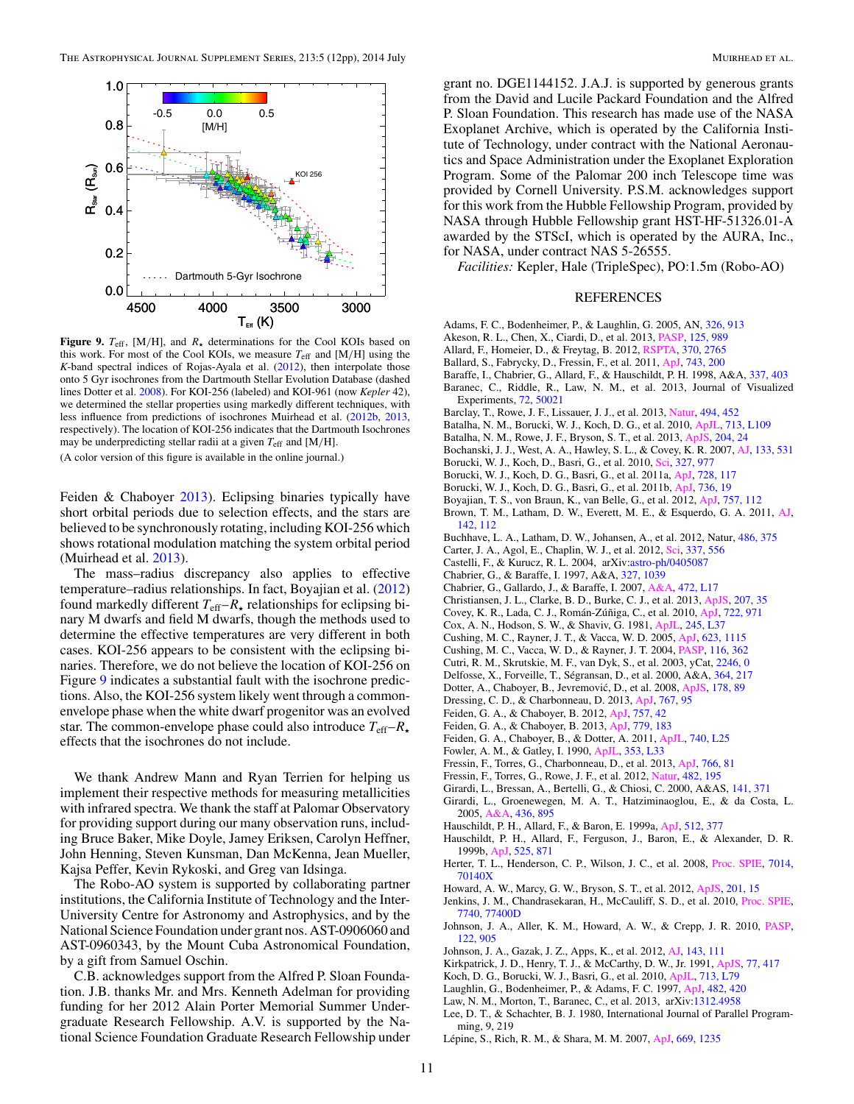<span id="page-10-0"></span>

**Figure 9.**  $T_{\text{eff}}$ , [M/H], and  $R_{\star}$  determinations for the Cool KOIs based on this work. For most of the Cool KOIs, we measure *T*eff and [M*/*H] using the *K*-band spectral indices of Rojas-Ayala et al. [\(2012\)](#page-11-0), then interpolate those onto 5 Gyr isochrones from the Dartmouth Stellar Evolution Database (dashed lines Dotter et al. 2008). For KOI-256 (labeled) and KOI-961 (now *Kepler* 42), we determined the stellar properties using markedly different techniques, with less influence from predictions of isochrones Muirhead et al. [\(2012b,](#page-11-0) [2013,](#page-11-0) respectively). The location of KOI-256 indicates that the Dartmouth Isochrones may be underpredicting stellar radii at a given *T*eff and [M*/*H].

(A color version of this figure is available in the online journal.)

Feiden & Chaboyer 2013). Eclipsing binaries typically have short orbital periods due to selection effects, and the stars are believed to be synchronously rotating, including KOI-256 which shows rotational modulation matching the system orbital period (Muirhead et al. [2013\)](#page-11-0).

The mass–radius discrepancy also applies to effective temperature–radius relationships. In fact, Boyajian et al. (2012) found markedly different  $T_{\text{eff}}-R_{\star}$  relationships for eclipsing binary M dwarfs and field M dwarfs, though the methods used to determine the effective temperatures are very different in both cases. KOI-256 appears to be consistent with the eclipsing binaries. Therefore, we do not believe the location of KOI-256 on Figure 9 indicates a substantial fault with the isochrone predictions. Also, the KOI-256 system likely went through a commonenvelope phase when the white dwarf progenitor was an evolved star. The common-envelope phase could also introduce *T*eff–*R* effects that the isochrones do not include.

We thank Andrew Mann and Ryan Terrien for helping us implement their respective methods for measuring metallicities with infrared spectra. We thank the staff at Palomar Observatory for providing support during our many observation runs, including Bruce Baker, Mike Doyle, Jamey Eriksen, Carolyn Heffner, John Henning, Steven Kunsman, Dan McKenna, Jean Mueller, Kajsa Peffer, Kevin Rykoski, and Greg van Idsinga.

The Robo-AO system is supported by collaborating partner institutions, the California Institute of Technology and the Inter-University Centre for Astronomy and Astrophysics, and by the National Science Foundation under grant nos. AST-0906060 and AST-0960343, by the Mount Cuba Astronomical Foundation, by a gift from Samuel Oschin.

C.B. acknowledges support from the Alfred P. Sloan Foundation. J.B. thanks Mr. and Mrs. Kenneth Adelman for providing funding for her 2012 Alain Porter Memorial Summer Undergraduate Research Fellowship. A.V. is supported by the National Science Foundation Graduate Research Fellowship under grant no. DGE1144152. J.A.J. is supported by generous grants from the David and Lucile Packard Foundation and the Alfred P. Sloan Foundation. This research has made use of the NASA Exoplanet Archive, which is operated by the California Institute of Technology, under contract with the National Aeronautics and Space Administration under the Exoplanet Exploration Program. Some of the Palomar 200 inch Telescope time was provided by Cornell University. P.S.M. acknowledges support for this work from the Hubble Fellowship Program, provided by NASA through Hubble Fellowship grant HST-HF-51326.01-A awarded by the STScI, which is operated by the AURA, Inc., for NASA, under contract NAS 5-26555.

*Facilities:* Kepler, Hale (TripleSpec), PO:1.5m (Robo-AO)

#### REFERENCES

- Adams, F. C., Bodenheimer, P., & Laughlin, G. 2005, AN, [326, 913](http://adsabs.harvard.edu/abs/2005AN....326..913A)
- Akeson, R. L., Chen, X., Ciardi, D., et al. 2013, [PASP,](http://dx.doi.org/10.1086/672273) [125, 989](http://adsabs.harvard.edu/abs/2013PASP..125..989A)
- Allard, F., Homeier, D., & Freytag, B. 2012, [RSPTA,](http://dx.doi.org/10.1098/rsta.2011.0269) [370, 2765](http://adsabs.harvard.edu/abs/2012RSPTA.370.2765A)
- Ballard, S., Fabrycky, D., Fressin, F., et al. 2011, [ApJ,](http://dx.doi.org/10.1088/0004-637X/743/2/200) [743, 200](http://adsabs.harvard.edu/abs/2011ApJ...743..200B)
- Baraffe, I., Chabrier, G., Allard, F., & Hauschildt, P. H. 1998, A&A, [337, 403](http://adsabs.harvard.edu/abs/1998A&A...337..403B) Baranec, C., Riddle, R., Law, N. M., et al. 2013, Journal of Visualized Experiments, [72, 50021](http://adsabs.harvard.edu/abs/2013JVE....7250021B)
- Barclay, T., Rowe, J. F., Lissauer, J. J., et al. 2013, [Natur,](http://dx.doi.org/10.1038/nature11914) [494, 452](http://adsabs.harvard.edu/abs/2013Natur.494..452B)
- Batalha, N. M., Borucki, W. J., Koch, D. G., et al. 2010, [ApJL,](http://dx.doi.org/10.1088/2041-8205/713/2/L109) [713, L109](http://adsabs.harvard.edu/abs/2010ApJ...713L.109B)
- Batalha, N. M., Rowe, J. F., Bryson, S. T., et al. 2013, [ApJS,](http://dx.doi.org/10.1088/0067-0049/204/2/24) [204, 24](http://adsabs.harvard.edu/abs/2013ApJS..204...24B)
- Bochanski, J. J., West, A. A., Hawley, S. L., & Covey, K. R. 2007, [AJ,](http://dx.doi.org/10.1086/510240) [133, 531](http://adsabs.harvard.edu/abs/2007AJ....133..531B)
- Borucki, W. J., Koch, D., Basri, G., et al. 2010, [Sci,](http://dx.doi.org/10.1126/science.1185402) [327, 977](http://adsabs.harvard.edu/abs/2010Sci...327..977B)
- Borucki, W. J., Koch, D. G., Basri, G., et al. 2011a, [ApJ,](http://dx.doi.org/10.1088/0004-637X/728/2/117) [728, 117](http://adsabs.harvard.edu/abs/2011ApJ...728..117B)
- Borucki, W. J., Koch, D. G., Basri, G., et al. 2011b, [ApJ,](http://dx.doi.org/10.1088/0004-637X/736/1/19) [736, 19](http://adsabs.harvard.edu/abs/2011ApJ...736...19B)
- Boyajian, T. S., von Braun, K., van Belle, G., et al. 2012, [ApJ,](http://dx.doi.org/10.1088/0004-637X/757/2/112) [757, 112](http://adsabs.harvard.edu/abs/2012ApJ...757..112B)
- Brown, T. M., Latham, D. W., Everett, M. E., & Esquerdo, G. A. 2011, [AJ,](http://dx.doi.org/10.1088/0004-6256/142/4/112) [142, 112](http://adsabs.harvard.edu/abs/2011AJ....142..112B)
- Buchhave, L. A., Latham, D. W., Johansen, A., et al. 2012, Natur, [486, 375](http://adsabs.harvard.edu/abs/2012Natur.486..375B)
- Carter, J. A., Agol, E., Chaplin, W. J., et al. 2012, [Sci,](http://dx.doi.org/10.1126/science.1223269) [337, 556](http://adsabs.harvard.edu/abs/2012Sci...337..556C)
- Castelli, F., & Kurucz, R. L. 2004, arXiv[:astro-ph/0405087](http://www.arxiv.org/abs/astro-ph/0405087)
- Chabrier, G., & Baraffe, I. 1997, A&A, [327, 1039](http://adsabs.harvard.edu/abs/1997A&A...327.1039C)
- Chabrier, G., Gallardo, J., & Baraffe, I. 2007, [A&A,](http://dx.doi.org/10.1051/0004-6361:20077702) [472, L17](http://adsabs.harvard.edu/abs/2007A&A...472L..17C)
- Christiansen, J. L., Clarke, B. D., Burke, C. J., et al. 2013, [ApJS,](http://dx.doi.org/10.1088/0067-0049/207/2/35) [207, 35](http://adsabs.harvard.edu/abs/2013ApJS..207...35C)
- Covey, K. R., Lada, C. J., Román-Zúñiga, C., et al. 2010, [ApJ,](http://dx.doi.org/10.1088/0004-637X/722/2/971) [722, 971](http://adsabs.harvard.edu/abs/2010ApJ...722..971C)
- Cox, A. N., Hodson, S. W., & Shaviv, G. 1981, [ApJL,](http://dx.doi.org/10.1086/183517) [245, L37](http://adsabs.harvard.edu/abs/1981ApJ...245L..37C)
- Cushing, M. C., Rayner, J. T., & Vacca, W. D. 2005, [ApJ,](http://dx.doi.org/10.1086/428040) [623, 1115](http://adsabs.harvard.edu/abs/2005ApJ...623.1115C)
- Cushing, M. C., Vacca, W. D., & Rayner, J. T. 2004, [PASP,](http://dx.doi.org/10.1086/382907) [116, 362](http://adsabs.harvard.edu/abs/2004PASP..116..362C)
- Cutri, R. M., Skrutskie, M. F., van Dyk, S., et al. 2003, yCat, [2246, 0](http://adsabs.harvard.edu/abs/2003yCat.2246....0C)
- Delfosse, X., Forveille, T., Ségransan, D., et al. 2000, A&A, [364, 217](http://adsabs.harvard.edu/abs/2000A&A...364..217D)
- Dotter, A., Chaboyer, B., Jevremović, D., et al. 2008, [ApJS,](http://dx.doi.org/10.1086/589654) [178, 89](http://adsabs.harvard.edu/abs/2008ApJS..178...89D)
- Dressing, C. D., & Charbonneau, D. 2013, [ApJ,](http://dx.doi.org/10.1088/0004-637X/767/1/95) [767, 95](http://adsabs.harvard.edu/abs/2013ApJ...767...95D)
- Feiden, G. A., & Chaboyer, B. 2012, [ApJ,](http://dx.doi.org/10.1088/0004-637X/757/1/42) [757, 42](http://adsabs.harvard.edu/abs/2012ApJ...757...42F)
- Feiden, G. A., & Chaboyer, B. 2013, [ApJ,](http://dx.doi.org/10.1088/0004-637X/779/2/183) [779, 183](http://adsabs.harvard.edu/abs/2013ApJ...779..183F)
- Feiden, G. A., Chaboyer, B., & Dotter, A. 2011, [ApJL,](http://dx.doi.org/10.1088/2041-8205/740/1/L25) [740, L25](http://adsabs.harvard.edu/abs/2011ApJ...740L..25F)
- Fowler, A. M., & Gatley, I. 1990, [ApJL,](http://dx.doi.org/10.1086/185701) [353, L33](http://adsabs.harvard.edu/abs/1990ApJ...353L..33F)
- Fressin, F., Torres, G., Charbonneau, D., et al. 2013, [ApJ,](http://dx.doi.org/10.1088/0004-637X/766/2/81) [766, 81](http://adsabs.harvard.edu/abs/2013ApJ...766...81F)
- Fressin, F., Torres, G., Rowe, J. F., et al. 2012, [Natur,](http://dx.doi.org/10.1038/nature10780) [482, 195](http://adsabs.harvard.edu/abs/2012Natur.482..195F)
- Girardi, L., Bressan, A., Bertelli, G., & Chiosi, C. 2000, A&AS, [141, 371](http://adsabs.harvard.edu/abs/2000A&AS..141..371G)
- Girardi, L., Groenewegen, M. A. T., Hatziminaoglou, E., & da Costa, L. 2005, [A&A,](http://dx.doi.org/10.1051/0004-6361:20042352) [436, 895](http://adsabs.harvard.edu/abs/2005A&A...436..895G)
- Hauschildt, P. H., Allard, F., & Baron, E. 1999a, [ApJ,](http://dx.doi.org/10.1086/306745) [512, 377](http://adsabs.harvard.edu/abs/1999ApJ...512..377H)
- Hauschildt, P. H., Allard, F., Ferguson, J., Baron, E., & Alexander, D. R. 1999b, [ApJ,](http://dx.doi.org/10.1086/307954) [525, 871](http://adsabs.harvard.edu/abs/1999ApJ...525..871H)
- Herter, T. L., Henderson, C. P., Wilson, J. C., et al. 2008, [Proc. SPIE,](http://dx.doi.org/10.1117/12.789660) [7014,](http://adsabs.harvard.edu/abs/2008SPIE.7014E..30H) [70140X](http://adsabs.harvard.edu/abs/2008SPIE.7014E..30H)
- Howard, A. W., Marcy, G. W., Bryson, S. T., et al. 2012, [ApJS,](http://dx.doi.org/10.1088/0067-0049/201/2/15) [201, 15](http://adsabs.harvard.edu/abs/2012ApJS..201...15H)
- Jenkins, J. M., Chandrasekaran, H., McCauliff, S. D., et al. 2010, [Proc. SPIE,](http://dx.doi.org/10.1117/12.856764) [7740, 77400D](http://adsabs.harvard.edu/abs/2010SPIE.7740E..10J)
- Johnson, J. A., Aller, K. M., Howard, A. W., & Crepp, J. R. 2010, [PASP,](http://dx.doi.org/10.1086/655775) [122, 905](http://adsabs.harvard.edu/abs/2010PASP..122..905J)
- Johnson, J. A., Gazak, J. Z., Apps, K., et al. 2012, [AJ,](http://dx.doi.org/10.1088/0004-6256/143/5/111) [143, 111](http://adsabs.harvard.edu/abs/2012AJ....143..111J)
- Kirkpatrick, J. D., Henry, T. J., & McCarthy, D. W., Jr. 1991, [ApJS,](http://dx.doi.org/10.1086/191611) [77, 417](http://adsabs.harvard.edu/abs/1991ApJS...77..417K)
- Koch, D. G., Borucki, W. J., Basri, G., et al. 2010, [ApJL,](http://dx.doi.org/10.1088/2041-8205/713/2/L79) [713, L79](http://adsabs.harvard.edu/abs/2010ApJ...713L..79K)
- Laughlin, G., Bodenheimer, P., & Adams, F. C. 1997, [ApJ,](http://dx.doi.org/10.1086/304125) [482, 420](http://adsabs.harvard.edu/abs/1997ApJ...482..420L)
- Law, N. M., Morton, T., Baranec, C., et al. 2013, arXiv[:1312.4958](http://www.arxiv.org/abs/1312.4958)
- Lee, D. T., & Schachter, B. J. 1980, International Journal of Parallel Programming, 9, 219
- Lépine, S., Rich, R. M., & Shara, M. M. 2007, [ApJ,](http://dx.doi.org/10.1086/521614) [669, 1235](http://adsabs.harvard.edu/abs/2007ApJ...669.1235L)